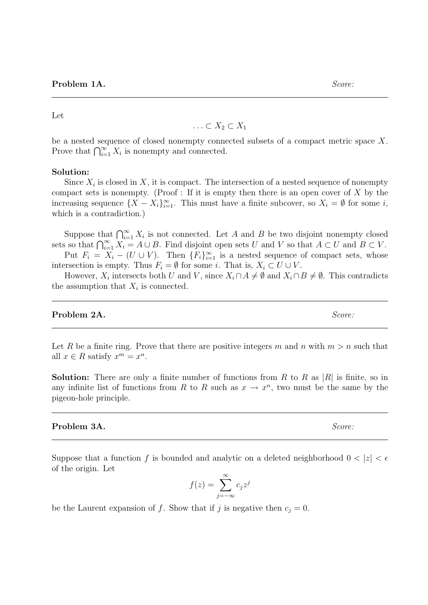**Problem 1A.** Score:

 $\ldots \subset X_2 \subset X_1$ 

be a nested sequence of closed nonempty connected subsets of a compact metric space X. Prove that  $\bigcap_{i=1}^{\infty} X_i$  is nonempty and connected.

#### Solution:

Let

Since  $X_i$  is closed in X, it is compact. The intersection of a nested sequence of nonempty compact sets is nonempty. (Proof : If it is empty then there is an open cover of  $X$  by the increasing sequence  $\{X - X_i\}_{i=1}^{\infty}$ . This must have a finite subcover, so  $X_i = \emptyset$  for some *i*, which is a contradiction.)

Suppose that  $\bigcap_{i=1}^{\infty} X_i$  is not connected. Let A and B be two disjoint nonempty closed sets so that  $\bigcap_{i=1}^{\infty} X_i = A \cup B$ . Find disjoint open sets U and V so that  $A \subset U$  and  $B \subset V$ . Put  $F_i = X_i - (U \cup V)$ . Then  ${F_i}_{i=1}^{\infty}$  is a nested sequence of compact sets, whose intersection is empty. Thus  $F_i = \emptyset$  for some *i*. That is,  $X_i \subset U \cup V$ .

However,  $X_i$  intersects both U and V, since  $X_i \cap A \neq \emptyset$  and  $X_i \cap B \neq \emptyset$ . This contradicts the assumption that  $X_i$  is connected.

## Problem 2A. Score:

Let R be a finite ring. Prove that there are positive integers m and n with  $m > n$  such that all  $x \in R$  satisfy  $x^m = x^n$ .

**Solution:** There are only a finite number of functions from R to R as  $|R|$  is finite, so in any infinite list of functions from R to R such as  $x \to x^n$ , two must be the same by the pigeon-hole principle.

## **Problem 3A.** Score:

Suppose that a function f is bounded and analytic on a deleted neighborhood  $0 < |z| < \epsilon$ of the origin. Let

$$
f(z) = \sum_{j=-\infty}^{\infty} c_j z^j
$$

be the Laurent expansion of f. Show that if j is negative then  $c_j = 0$ .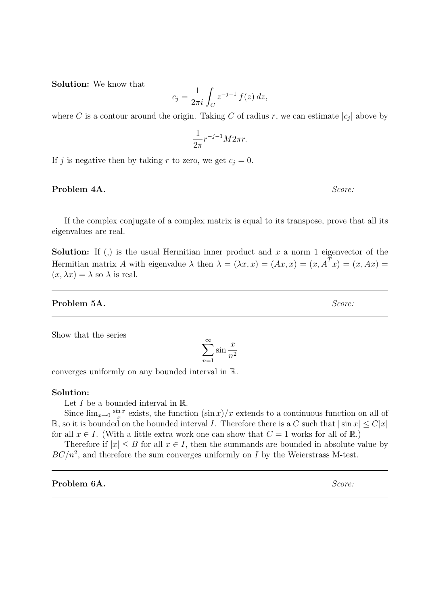Solution: We know that

$$
c_j = \frac{1}{2\pi i} \int_C z^{-j-1} f(z) dz,
$$

where C is a contour around the origin. Taking C of radius r, we can estimate  $|c_j|$  above by

$$
\frac{1}{2\pi}r^{-j-1}M2\pi r.
$$

If j is negative then by taking r to zero, we get  $c_i = 0$ .

## **Problem 4A.** Score:

If the complex conjugate of a complex matrix is equal to its transpose, prove that all its eigenvalues are real.

**Solution:** If (,) is the usual Hermitian inner product and x a norm 1 eigenvector of the Hermitian matrix A with eigenvalue  $\lambda$  then  $\lambda = (\lambda x, x) = (Ax, x) = (x, \overline{A}^T x) = (x, Ax) = (x, b)$  $(x,\overline{\lambda}x)=\overline{\lambda}$  so  $\lambda$  is real.

## Problem 5A. Score:

Show that the series

$$
\sum_{n=1}^{\infty} \sin \frac{x}{n^2}
$$

converges uniformly on any bounded interval in R.

## Solution:

Let  $I$  be a bounded interval in  $\mathbb{R}$ .

Since  $\lim_{x\to 0} \frac{\sin x}{x}$  $\frac{n x}{x}$  exists, the function  $(\sin x)/x$  extends to a continuous function on all of R, so it is bounded on the bounded interval I. Therefore there is a C such that  $|\sin x| \leq C|x|$ for all  $x \in I$ . (With a little extra work one can show that  $C = 1$  works for all of R.)

Therefore if  $|x| \leq B$  for all  $x \in I$ , then the summands are bounded in absolute value by  $BC/n^2$ , and therefore the sum converges uniformly on I by the Weierstrass M-test.

**Problem 6A.** Score: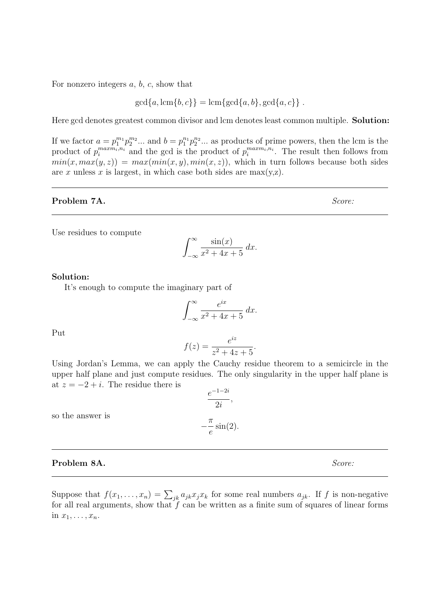For nonzero integers  $a, b, c$ , show that

$$
gcd{a, lcm{b, c}}
$$
 =  $lcm{gcd{a, b}, gcd{a, c}}$ .

Here gcd denotes greatest common divisor and lcm denotes least common multiple. Solution:

If we factor  $a = p_1^{m_1} p_2^{m_2} ...$  and  $b = p_1^{n_1} p_2^{n_2} ...$  as products of prime powers, then the lcm is the product of  $p_i^{maxm_i,n_i}$  and the gcd is the product of  $p_i^{maxm_i,n_i}$ . The result then follows from  $min(x, max(y, z)) = max(min(x, y), min(x, z))$ , which in turn follows because both sides are x unless x is largest, in which case both sides are  $\max(y,z)$ .

## Problem 7A. Score:

Use residues to compute

$$
\int_{-\infty}^{\infty} \frac{\sin(x)}{x^2 + 4x + 5} \, dx.
$$

#### Solution:

It's enough to compute the imaginary part of

$$
\int_{-\infty}^{\infty} \frac{e^{ix}}{x^2 + 4x + 5} \, dx.
$$

Put

$$
f(z) = \frac{e^{iz}}{z^2 + 4z + 5}.
$$

Using Jordan's Lemma, we can apply the Cauchy residue theorem to a semicircle in the upper half plane and just compute residues. The only singularity in the upper half plane is at  $z = -2 + i$ . The residue there is

so the answer is

# **Problem 8A.** Score:

Suppose that  $f(x_1, \ldots, x_n) = \sum_{jk} a_{jk} x_j x_k$  for some real numbers  $a_{jk}$ . If f is non-negative for all real arguments, show that  $f$  can be written as a finite sum of squares of linear forms in  $x_1, \ldots, x_n$ .

$$
\frac{e^{-1-2i}}{2i},
$$
  

$$
-\frac{\pi}{e}\sin(2).
$$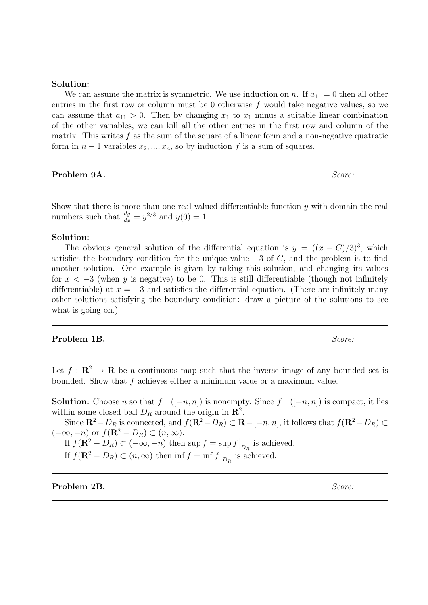## Solution:

We can assume the matrix is symmetric. We use induction on n. If  $a_{11} = 0$  then all other entries in the first row or column must be 0 otherwise  $f$  would take negative values, so we can assume that  $a_{11} > 0$ . Then by changing  $x_1$  to  $x_1$  minus a suitable linear combination of the other variables, we can kill all the other entries in the first row and column of the matrix. This writes  $f$  as the sum of the square of a linear form and a non-negative quatratic form in  $n-1$  varaibles  $x_2, ..., x_n$ , so by induction f is a sum of squares.

**Problem 9A.** Score:

Show that there is more than one real-valued differentiable function y with domain the real numbers such that  $\frac{dy}{dx} = y^{2/3}$  and  $y(0) = 1$ .

## Solution:

The obvious general solution of the differential equation is  $y = ((x - C)/3)^3$ , which satisfies the boundary condition for the unique value  $-3$  of C, and the problem is to find another solution. One example is given by taking this solution, and changing its values for  $x < -3$  (when y is negative) to be 0. This is still differentiable (though not infinitely differentiable) at  $x = -3$  and satisfies the differential equation. (There are infinitely many other solutions satisfying the boundary condition: draw a picture of the solutions to see what is going on.)

## **Problem 1B.** Score:

Let  $f: \mathbb{R}^2 \to \mathbb{R}$  be a continuous map such that the inverse image of any bounded set is bounded. Show that  $f$  achieves either a minimum value or a maximum value.

**Solution:** Choose *n* so that  $f^{-1}([-n, n])$  is nonempty. Since  $f^{-1}([-n, n])$  is compact, it lies within some closed ball  $D_R$  around the origin in  $\mathbb{R}^2$ .

Since  $\mathbf{R}^2-D_R$  is connected, and  $f(\mathbf{R}^2-D_R) \subset \mathbf{R}-[-n, n]$ , it follows that  $f(\mathbf{R}^2-D_R) \subset$  $(-\infty, -n)$  or  $f(\mathbf{R}^2 - D_R) \subset (n, \infty)$ .

If  $f(\mathbf{R}^2 - D_R) \subset (-\infty, -n)$  then sup  $f = \sup f \big|_{D_R}$  is achieved.

If  $f(\mathbf{R}^2 - D_R) \subset (n, \infty)$  then  $\inf f = \inf f \big|_{D_R}$  is achieved.

Problem 2B. Score: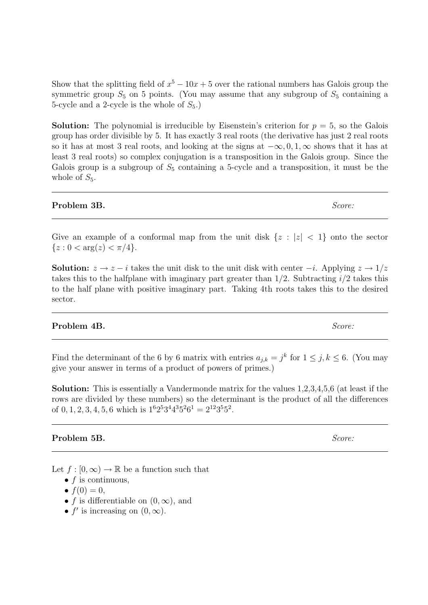Show that the splitting field of  $x^5 - 10x + 5$  over the rational numbers has Galois group the symmetric group  $S_5$  on 5 points. (You may assume that any subgroup of  $S_5$  containing a 5-cycle and a 2-cycle is the whole of  $S_5$ .)

**Solution:** The polynomial is irreducible by Eisenstein's criterion for  $p = 5$ , so the Galois group has order divisible by 5. It has exactly 3 real roots (the derivative has just 2 real roots so it has at most 3 real roots, and looking at the signs at  $-\infty, 0, 1, \infty$  shows that it has at least 3 real roots) so complex conjugation is a transposition in the Galois group. Since the Galois group is a subgroup of  $S_5$  containing a 5-cycle and a transposition, it must be the whole of  $S_5$ .

# **Problem 3B.** Score:

Give an example of a conformal map from the unit disk  $\{z : |z| < 1\}$  onto the sector  ${z : 0 < arg(z) < \pi/4}.$ 

**Solution:**  $z \to z - i$  takes the unit disk to the unit disk with center  $-i$ . Applying  $z \to 1/z$ takes this to the halfplane with imaginary part greater than  $1/2$ . Subtracting  $i/2$  takes this to the half plane with positive imaginary part. Taking 4th roots takes this to the desired sector.

# **Problem 4B.** Score:

Find the determinant of the 6 by 6 matrix with entries  $a_{j,k} = j^k$  for  $1 \leq j, k \leq 6$ . (You may give your answer in terms of a product of powers of primes.)

Solution: This is essentially a Vandermonde matrix for the values 1,2,3,4,5,6 (at least if the rows are divided by these numbers) so the determinant is the product of all the differences of  $0, 1, 2, 3, 4, 5, 6$  which is  $1^6 2^5 3^4 4^3 5^2 6^1 = 2^{12} 3^5 5^2$ .

# Problem 5B. Score:

Let  $f : [0, \infty) \to \mathbb{R}$  be a function such that

- $f$  is continuous,
- $f(0) = 0$ ,
- f is differentiable on  $(0, \infty)$ , and
- $f'$  is increasing on  $(0, \infty)$ .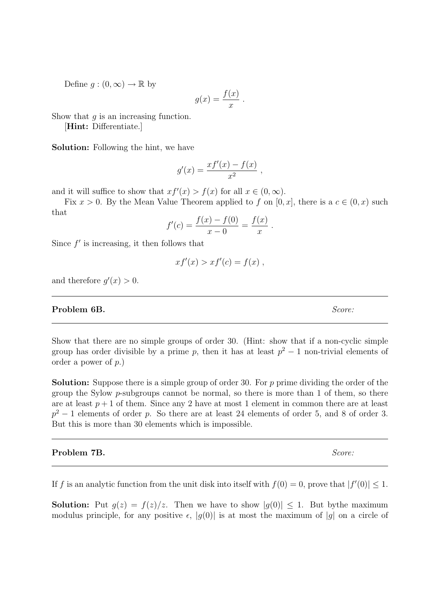Define  $q:(0,\infty)\to\mathbb{R}$  by

$$
g(x) = \frac{f(x)}{x} .
$$

Show that  $q$  is an increasing function.

[Hint: Differentiate.]

Solution: Following the hint, we have

$$
g'(x) = \frac{xf'(x) - f(x)}{x^2} ,
$$

and it will suffice to show that  $xf'(x) > f(x)$  for all  $x \in (0, \infty)$ .

Fix  $x > 0$ . By the Mean Value Theorem applied to f on [0, x], there is a  $c \in (0, x)$  such that

$$
f'(c) = \frac{f(x) - f(0)}{x - 0} = \frac{f(x)}{x}.
$$

Since  $f'$  is increasing, it then follows that

$$
xf'(x) > xf'(c) = f(x) ,
$$

and therefore  $g'(x) > 0$ .

# **Problem 6B.** Score:

Show that there are no simple groups of order 30. (Hint: show that if a non-cyclic simple group has order divisible by a prime p, then it has at least  $p^2 - 1$  non-trivial elements of order a power of p.)

Solution: Suppose there is a simple group of order 30. For p prime dividing the order of the group the Sylow  $p$ -subgroups cannot be normal, so there is more than 1 of them, so there are at least  $p+1$  of them. Since any 2 have at most 1 element in common there are at least  $p^2-1$  elements of order p. So there are at least 24 elements of order 5, and 8 of order 3. But this is more than 30 elements which is impossible.

## **Problem 7B.** Score:

If f is an analytic function from the unit disk into itself with  $f(0) = 0$ , prove that  $|f'(0)| \leq 1$ .

**Solution:** Put  $g(z) = f(z)/z$ . Then we have to show  $|g(0)| \leq 1$ . But bythe maximum modulus principle, for any positive  $\epsilon$ ,  $|g(0)|$  is at most the maximum of  $|g|$  on a circle of